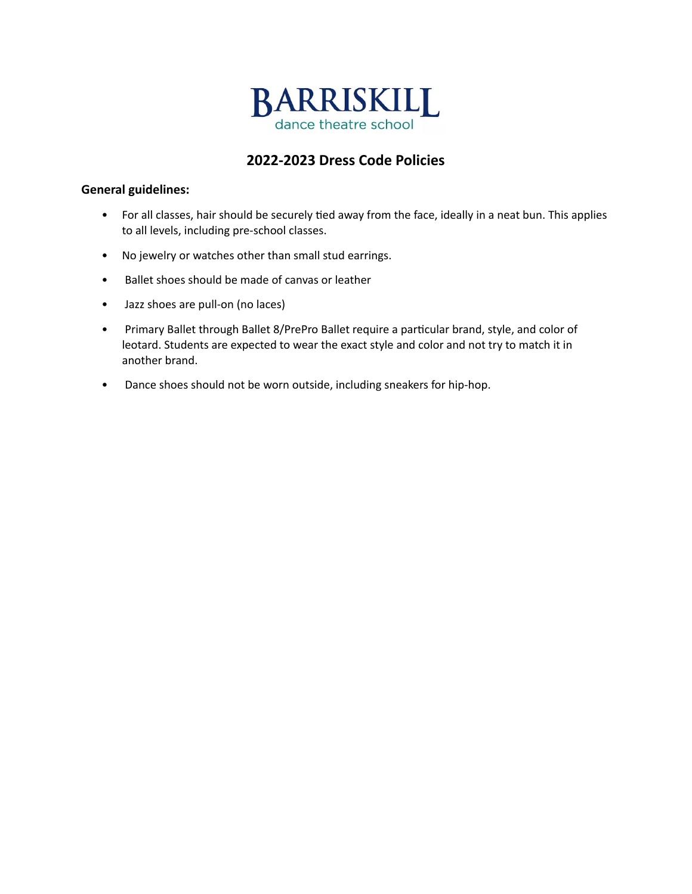

# **2022-2023 Dress Code Policies**

## **General guidelines:**

- For all classes, hair should be securely tied away from the face, ideally in a neat bun. This applies to all levels, including pre-school classes.
- No jewelry or watches other than small stud earrings.
- Ballet shoes should be made of canvas or leather
- Jazz shoes are pull-on (no laces)
- Primary Ballet through Ballet 8/PrePro Ballet require a particular brand, style, and color of leotard. Students are expected to wear the exact style and color and not try to match it in another brand.
- Dance shoes should not be worn outside, including sneakers for hip-hop.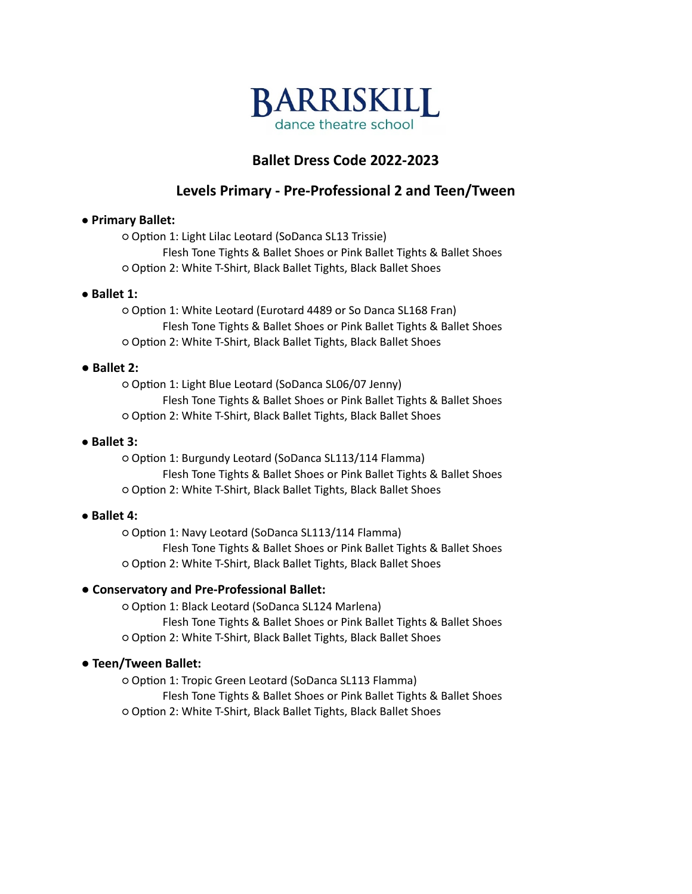

# **Ballet Dress Code 2022-2023**

# **Levels Primary - Pre-Professional 2 and Teen/Tween**

# ● **Primary Ballet:**

○ Option 1: Light Lilac Leotard (SoDanca SL13 Trissie) Flesh Tone Tights & Ballet Shoes or Pink Ballet Tights & Ballet Shoes ○ Option 2: White T-Shirt, Black Ballet Tights, Black Ballet Shoes

### ● **Ballet 1:**

○ Option 1: White Leotard (Eurotard 4489 or So Danca SL168 Fran) Flesh Tone Tights & Ballet Shoes or Pink Ballet Tights & Ballet Shoes ○ Option 2: White T-Shirt, Black Ballet Tights, Black Ballet Shoes

### **● Ballet 2:**

○ Option 1: Light Blue Leotard (SoDanca SL06/07 Jenny) Flesh Tone Tights & Ballet Shoes or Pink Ballet Tights & Ballet Shoes ○ Option 2: White T-Shirt, Black Ballet Tights, Black Ballet Shoes

### ● **Ballet 3:**

○ Option 1: Burgundy Leotard (SoDanca SL113/114 Flamma) Flesh Tone Tights & Ballet Shoes or Pink Ballet Tights & Ballet Shoes ○ Option 2: White T-Shirt, Black Ballet Tights, Black Ballet Shoes

# ● **Ballet 4:**

○ Option 1: Navy Leotard (SoDanca SL113/114 Flamma) Flesh Tone Tights & Ballet Shoes or Pink Ballet Tights & Ballet Shoes ○ Option 2: White T-Shirt, Black Ballet Tights, Black Ballet Shoes

# **● Conservatory and Pre-Professional Ballet:**

○ Option 1: Black Leotard (SoDanca SL124 Marlena) Flesh Tone Tights & Ballet Shoes or Pink Ballet Tights & Ballet Shoes ○ Option 2: White T-Shirt, Black Ballet Tights, Black Ballet Shoes

# **● Teen/Tween Ballet:**

○ Option 1: Tropic Green Leotard (SoDanca SL113 Flamma) Flesh Tone Tights & Ballet Shoes or Pink Ballet Tights & Ballet Shoes ○ Option 2: White T-Shirt, Black Ballet Tights, Black Ballet Shoes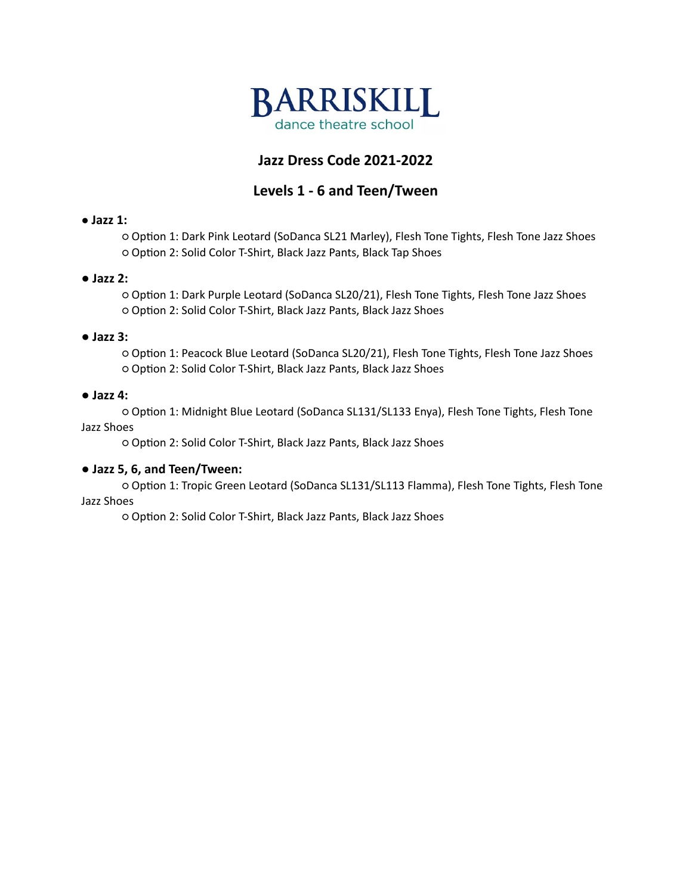

# **Jazz Dress Code 2021-2022**

# **Levels 1 - 6 and Teen/Tween**

# ● **Jazz 1:**

○ Option 1: Dark Pink Leotard (SoDanca SL21 Marley), Flesh Tone Tights, Flesh Tone Jazz Shoes ○ Option 2: Solid Color T-Shirt, Black Jazz Pants, Black Tap Shoes

### **● Jazz 2:**

○ Option 1: Dark Purple Leotard (SoDanca SL20/21), Flesh Tone Tights, Flesh Tone Jazz Shoes ○ Option 2: Solid Color T-Shirt, Black Jazz Pants, Black Jazz Shoes

### **● Jazz 3:**

○ Option 1: Peacock Blue Leotard (SoDanca SL20/21), Flesh Tone Tights, Flesh Tone Jazz Shoes ○ Option 2: Solid Color T-Shirt, Black Jazz Pants, Black Jazz Shoes

### **● Jazz 4:**

○ Option 1: Midnight Blue Leotard (SoDanca SL131/SL133 Enya), Flesh Tone Tights, Flesh Tone Jazz Shoes

○ Option 2: Solid Color T-Shirt, Black Jazz Pants, Black Jazz Shoes

# **● Jazz 5, 6, and Teen/Tween:**

○ Option 1: Tropic Green Leotard (SoDanca SL131/SL113 Flamma), Flesh Tone Tights, Flesh Tone Jazz Shoes

○ Option 2: Solid Color T-Shirt, Black Jazz Pants, Black Jazz Shoes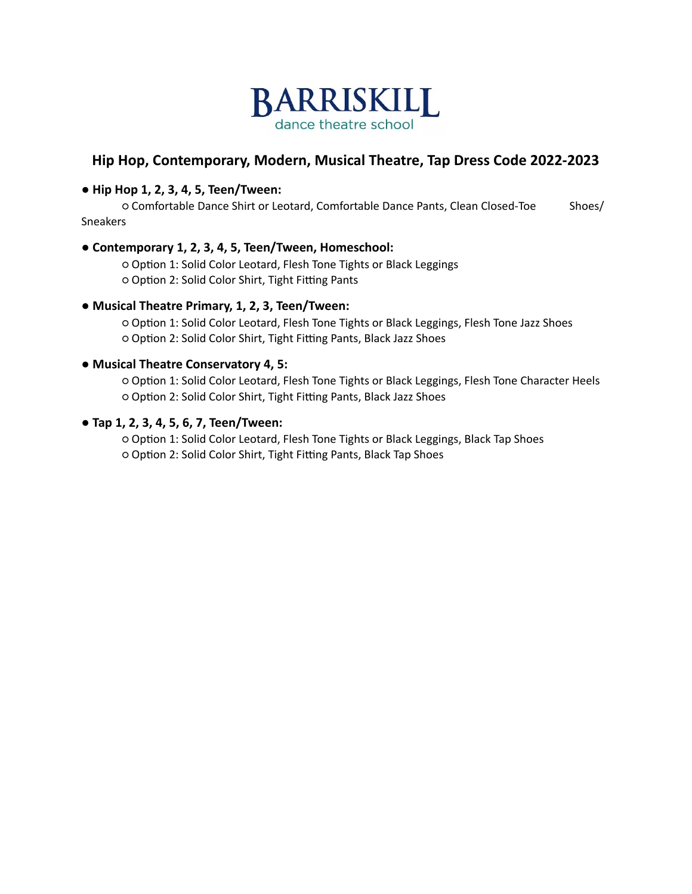

# **Hip Hop, Contemporary, Modern, Musical Theatre, Tap Dress Code 2022-2023**

## **● Hip Hop 1, 2, 3, 4, 5, Teen/Tween:**

○ Comfortable Dance Shirt or Leotard, Comfortable Dance Pants, Clean Closed-Toe Shoes/ Sneakers

### **● Contemporary 1, 2, 3, 4, 5, Teen/Tween, Homeschool:**

○ Option 1: Solid Color Leotard, Flesh Tone Tights or Black Leggings ○ Option 2: Solid Color Shirt, Tight Fitting Pants

### **● Musical Theatre Primary, 1, 2, 3, Teen/Tween:**

○ Option 1: Solid Color Leotard, Flesh Tone Tights or Black Leggings, Flesh Tone Jazz Shoes ○ Option 2: Solid Color Shirt, Tight Fitting Pants, Black Jazz Shoes

### **● Musical Theatre Conservatory 4, 5:**

○ Option 1: Solid Color Leotard, Flesh Tone Tights or Black Leggings, Flesh Tone Character Heels ○ Option 2: Solid Color Shirt, Tight Fitting Pants, Black Jazz Shoes

### **● Tap 1, 2, 3, 4, 5, 6, 7, Teen/Tween:**

○ Option 1: Solid Color Leotard, Flesh Tone Tights or Black Leggings, Black Tap Shoes ○ Option 2: Solid Color Shirt, Tight Fitting Pants, Black Tap Shoes